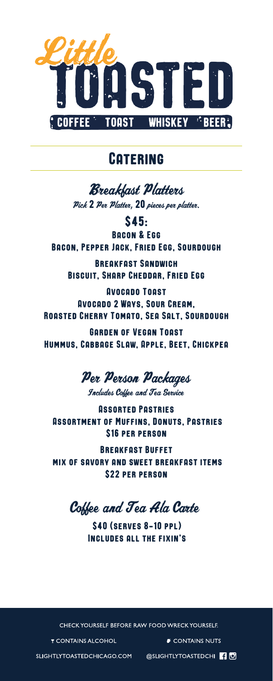

## **CATERING**

**Breakhast Platters** Pick 2 Per Platter, 20 pieces per platter.

\$45: Bacon & Egg Bacon, Pepper Jack, Fried Egg, Sourdough

Breakfast Sandwich Biscuit, Sharp Cheddar, Fried Egg

Avocado Toast Avocado 2 Ways, Sour Cream, Roasted Cherry Tomato, Sea Salt, Sourdough

Garden of Vegan Toast Hummus, Cabbage Slaw, Apple, Beet, Chickpea

Per Person Packages

Includes Coffee and Tea Service

Assorted Pastries Assortment of Muffins, Donuts, Pastries \$16 per person

Breakfast Buffet mix of savory and sweet breakfast items \$22 per person

Coffee and Tea Ala Carte

\$40 (serves 8-10 ppl) Includes all the fixin's

CHECK YOURSELF BEFORE RAW FOOD WRECK YOURSELF.

**T CONTAINS ALCOHOL** 

CONTAINS NUTS

SLIGHTLYTOASTEDCHICAGO.COM

@SLIGHTLYTOASTEDCHI **4**